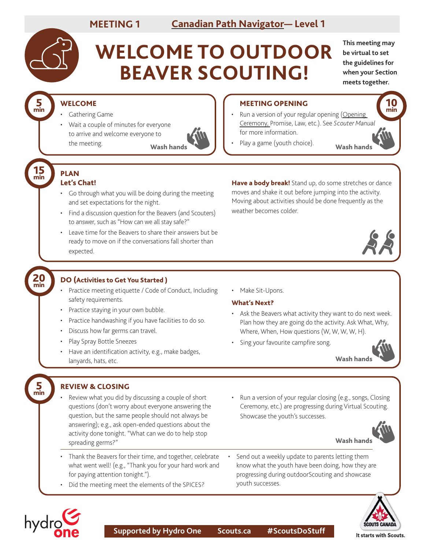# **MEETING 1 [Canadian Path Navigator](https://www.scouts.ca/resources/program-resources/canadian-path-navigator.html)— Level 1**

5 min

15 min

20 min

5 min

# **WELCOME TO OUTDOOR BEAVER SCOUTING!**

**This meeting may be virtual to set the guidelines for when your Section meets together.**

> 10 min

### WELCOME

- Gathering Game
- Wait a couple of minutes for everyone to arrive and welcome everyone to the meeting.



#### MEETING OPENING

- Run a version of your regular opening (Opening [Ceremony,](https://scoutsca.s3.amazonaws.com/2019/01/scouter-manual.pdf#page=64) Promise, Law, etc.). See *Scouter Manual* for more information.
- Wash hands **Wash hands Wash hands Wash hands Wash hands**

#### PLAN Let's Chat!

- Go through what you will be doing during the meeting and set expectations for the night.
- Find a discussion question for the Beavers (and Scouters) to answer, such as "How can we all stay safe?"
- Leave time for the Beavers to share their answers but be ready to move on if the conversations fall shorter than expected.

Have a body break! Stand up, do some stretches or dance moves and shake it out before jumping into the activity. Moving about activities should be done frequently as the weather becomes colder.



#### DO (Activities to Get You Started )

- Practice meeting etiquette / Code of Conduct, Including safety requirements.
- Practice staying in your own bubble.
- Practice handwashing if you have facilities to do so.
- Discuss how far germs can travel.
- Play Spray Bottle Sneezes
- Have an identification activity, e.g., make badges, lanyards, hats, etc.

• Make Sit-Upons.

#### What's Next?

- Ask the Beavers what activity they want to do next week. Plan how they are going do the activity. Ask What, Why, Where, When, How questions (W, W, W, W, H).
- Sing your favourite campfire song.



## REVIEW & CLOSING

- Review what you did by discussing a couple of short questions (don't worry about everyone answering the question, but the same people should not always be answering); e.g., ask open-ended questions about the activity done tonight. "What can we do to help stop spreading germs?"
- Thank the Beavers for their time, and together, celebrate what went well! (e.g., "Thank you for your hard work and for paying attention tonight.").
- Did the meeting meet the elements of the SPICES?

• Run a version of your regular closing (e.g., songs, Closing Ceremony, etc.) are progressing during Virtual Scouting. Showcase the youth's successes.



Wash hands

Send out a weekly update to parents letting them know what the youth have been doing, how they are progressing during outdoorScouting and showcase youth successes.